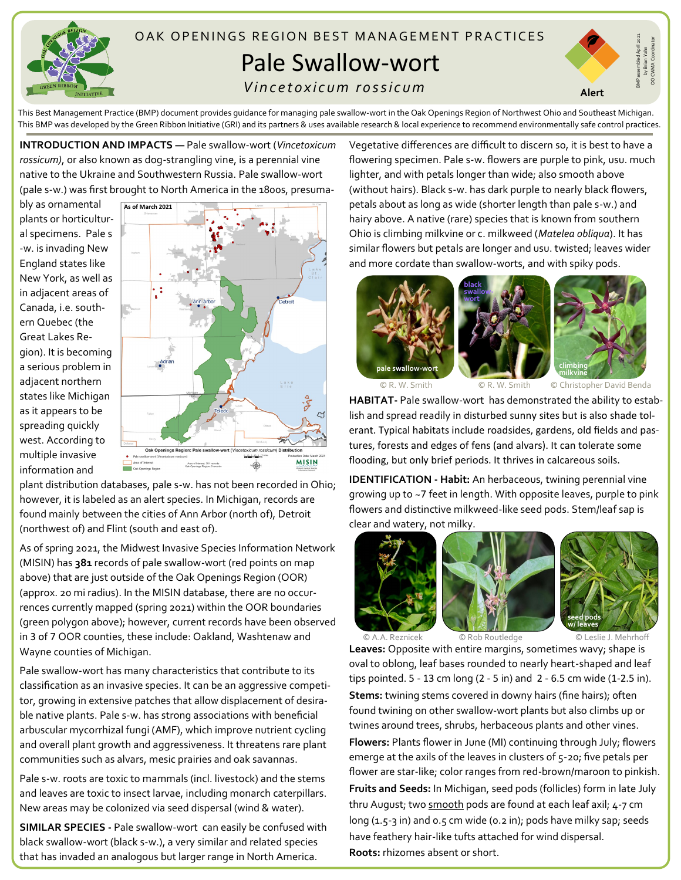

## OAK OPENINGS REGION BEST MANAGEMENT PRACTICES Pale Swallow-wort

## *V i n c e t o x i c u m r o s s i c u m*



by Brian Yahn OO CWMA Coordinator

This Best Management Practice (BMP) document provides guidance for managing pale swallow-wort in the Oak Openings Region of Northwest Ohio and Southeast Michigan. This BMP was developed by the Green Ribbon Initiative (GRI) and its partners & uses available research & local experience to recommend environmentally safe control practices.

**INTRODUCTION AND IMPACTS —** Pale swallow-wort (*Vincetoxicum rossicum)*, or also known as dog-strangling vine, is a perennial vine native to the Ukraine and Southwestern Russia. Pale swallow-wort (pale s-w.) was first brought to North America in the 1800s, presuma-

bly as ornamental plants or horticultural specimens. Pale s -w. is invading New England states like New York, as well as in adjacent areas of Canada, i.e. southern Quebec (the Great Lakes Region). It is becoming a serious problem in adjacent northern states like Michigan as it appears to be spreading quickly west. According to multiple invasive information and



plant distribution databases, pale s-w. has not been recorded in Ohio; however, it is labeled as an alert species. In Michigan, records are found mainly between the cities of Ann Arbor (north of), Detroit (northwest of) and Flint (south and east of).

As of spring 2021, the Midwest Invasive Species Information Network (MISIN) has **381** records of pale swallow-wort (red points on map above) that are just outside of the Oak Openings Region (OOR) (approx. 20 mi radius). In the MISIN database, there are no occurrences currently mapped (spring 2021) within the OOR boundaries (green polygon above); however, current records have been observed in 3 of 7 OOR counties, these include: Oakland, Washtenaw and Wayne counties of Michigan.

Pale swallow-wort has many characteristics that contribute to its classification as an invasive species. It can be an aggressive competitor, growing in extensive patches that allow displacement of desirable native plants. Pale s-w. has strong associations with beneficial arbuscular mycorrhizal fungi (AMF), which improve nutrient cycling and overall plant growth and aggressiveness. It threatens rare plant communities such as alvars, mesic prairies and oak savannas.

Pale s-w. roots are toxic to mammals (incl. livestock) and the stems and leaves are toxic to insect larvae, including monarch caterpillars. New areas may be colonized via seed dispersal (wind & water).

**SIMILAR SPECIES -** Pale swallow-wort can easily be confused with black swallow-wort (black s-w.), a very similar and related species that has invaded an analogous but larger range in North America.

Vegetative differences are difficult to discern so, it is best to have a flowering specimen. Pale s-w. flowers are purple to pink, usu. much lighter, and with petals longer than wide; also smooth above (without hairs). Black s-w. has dark purple to nearly black flowers, petals about as long as wide (shorter length than pale s-w.) and hairy above. A native (rare) species that is known from southern Ohio is climbing milkvine or c. milkweed (*Matelea obliqua*). It has similar flowers but petals are longer and usu. twisted; leaves wider and more cordate than swallow-worts, and with spiky pods.



**HABITAT-** Pale swallow-wort has demonstrated the ability to establish and spread readily in disturbed sunny sites but is also shade tolerant. Typical habitats include roadsides, gardens, old fields and pastures, forests and edges of fens (and alvars). It can tolerate some flooding, but only brief periods. It thrives in calcareous soils.

**IDENTIFICATION - Habit:** An herbaceous, twining perennial vine growing up to ~7 feet in length. With opposite leaves, purple to pink flowers and distinctive milkweed-like seed pods. Stem/leaf sap is clear and watery, not milky.







© A.A. Reznicek © Rob Routledge © Leslie J. Mehrhoff

**Leaves:** Opposite with entire margins, sometimes wavy; shape is oval to oblong, leaf bases rounded to nearly heart-shaped and leaf tips pointed. 5 - 13 cm long (2 - 5 in) and 2 - 6.5 cm wide (1-2.5 in). **Stems:** twining stems covered in downy hairs (fine hairs); often found twining on other swallow-wort plants but also climbs up or twines around trees, shrubs, herbaceous plants and other vines.

**Flowers:** Plants flower in June (MI) continuing through July; flowers emerge at the axils of the leaves in clusters of 5-20; five petals per flower are star-like; color ranges from red-brown/maroon to pinkish. **Fruits and Seeds:** In Michigan, seed pods (follicles) form in late July thru August; two smooth pods are found at each leaf axil; 4-7 cm long  $(1.5-3$  in) and  $0.5$  cm wide  $(0.2 \text{ in})$ ; pods have milky sap; seeds have feathery hair-like tufts attached for wind dispersal. **Roots:** rhizomes absent or short.